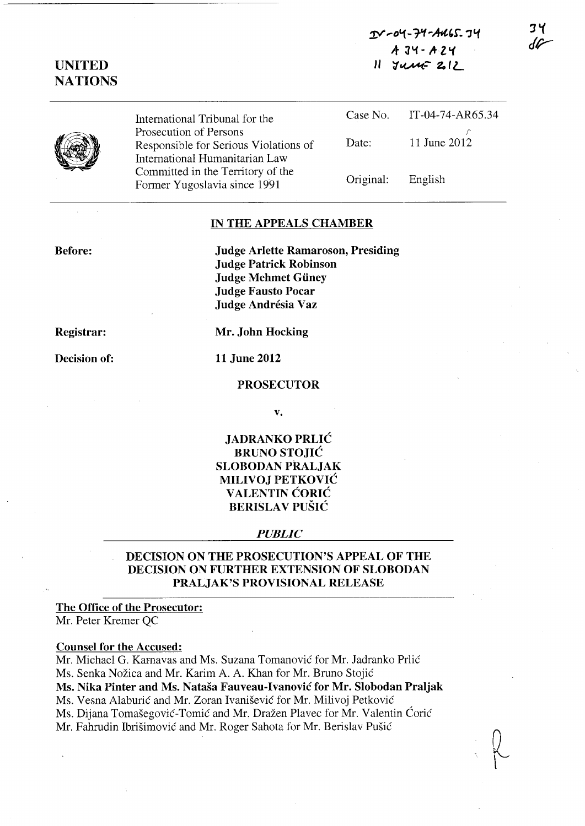$T$ -04-74-4465.74 *A-* **J"'C - ,+Z "(**  *<sup>11</sup>*'1~::- to *(L* 

## **UNITED NATIONS**

International Tribunal for the Prosecution of Persons Responsible for Serious Violations of International Humanitarian Law Committed in the Territory of the Former Yugoslavia since 1991

|       | Case No. IT-04-74-AR65.34 |
|-------|---------------------------|
| Date: | 11 June 2012              |
|       |                           |

Original: English

#### **IN THE APPEALS CHAMBER**

**Before:** 

**Judge Arlette Ramaroson, Presiding Judge Patrick Robinson Judge Mehmet Giiney Judge Fausto Pocar Judge Andresia Vaz** 

**Registrar:** 

**Decision of:** 

**Mr. John Hocking** 

**11 June 2012** 

#### **PROSECUTOR**

**v.** 

**JADRANKO PRLIC BRUNOSTOJIC SLOBODAN PRALJAK MILIVOJ PETKOVIC V ALENTIN CORIC BERISLA V PUSIC** 

#### *PUBLIC*

### **DECISION ON THE PROSECUTION'S APPEAL OF THE DECISION ON FURTHER EXTENSION OF SLOBODAN PRALJAK'S PROVISIONAL RELEASE**

## **The Office of the Prosecutor:**

Mr. Peter Kremer QC

#### **Counsel for the Accused:**

Mr. Michael G. Karnavas and Ms. Suzana Tomanović for Mr. Jadranko Prlić Ms. Senka Nožica and Mr. Karim A. A. Khan for Mr. Bruno Stojić **Ms. Nika Pinter and Ms. Natasa Fauveau-Ivanovic for Mr. Slobodan Praljak**  Ms. Vesna Alaburić and Mr. Zoran Ivanišević for Mr. Milivoj Petković Ms. Dijana Tomašegović-Tomić and Mr. Dražen Plavec for Mr. Valentin Ćorić Mr. Fahrudin Ibrišimović and Mr. Roger Sahota for Mr. Berislav Pušić

34 dG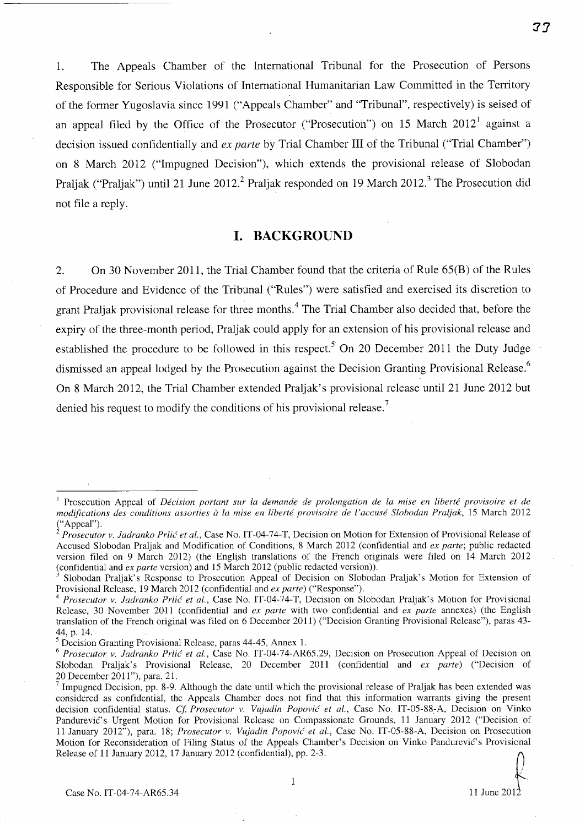1. The Appeals Chamber of the International Tribunal for the Prosecution of Persons Responsible for Serious Violations of International Humanitarian Law Committed in the Territory of the former Yugoslavia since 1991 ("Appeals Chamber" and "Tribunal", respectively) is seised of an appeal filed by the Office of the Prosecutor ("Prosecution") on 15 March  $2012<sup>1</sup>$  against a decision issued confidentially and *ex parte* by Trial Chamber **III** of the Tribunal ("Trial Chamber") on 8 March 2012 ("Impugned Decision"), which extends the provisional release of Slobodan Praljak ("Praljak") until 21 June 2012.<sup>2</sup> Praljak responded on 19 March 2012.<sup>3</sup> The Prosecution did not file a reply.

### **I. BACKGROUND**

2. On 30 November 2011, the Trial Chamber found that the criteria of Rule 65(B) of the Rules of Procedure and Evidence of the Tribunal ("Rules") were satisfied and exercised its discretion to grant Praljak provisional release for three months. 4 The Trial Chamber also decided that, before the expiry of the three-month period, Praljak could apply for an extension of his provisional release and established the procedure to be followed in this respect.<sup>5</sup> On 20 December 2011 the Duty Judge dismissed an appeal lodged by the Prosecution against the Decision Granting Provisional Release.<sup>6</sup> On 8 March 2012, the Trial Chamber extended Praljak's provisional release until 21 June 2012 but denied his request to modify the conditions of his provisional release.<sup>7</sup>

**'JJ** 

<sup>&</sup>lt;sup>1</sup> Prosecution Appeal of *Décision portant sur la demande de prolongation de la mise en liberté provisoire et de modifications des conditions assorties a la mise en liberte provisoire de l'accuse Slobodan Praljak,* IS March 2012 ("Appeal").

*<sup>2</sup> Prosecutor* v. *ladranko Prlic et aI.,* Case No. IT-04-74-T, Decision on Motion for Extension of Provisional Release of Accused Slobodan Praljak and Modification of Conditions, 8 March 2012 (confidential and *ex parte;* public redacted version filed on 9 March 2012) (the English translations of the French originals were filed on  $14$  March 2012 (confidential and *ex parte* version) and IS March 2012 (public redacted version».

<sup>3</sup> Slobodan Praljak's Response to Prosecution Appeal of Decision on Slobodan Praljak's Motion for Extension of Provisional Release, 19 March 2012 (confidential and *ex parte)* ("Response").

*<sup>4</sup> Prosecutor* v. *ladranko Prlic et al.,* Case No. IT-04-74-T, Decision on Slobodan Praljak's Motion for Provisional Release, 30 November 2011 (confidential and *ex parte* with two confidential and *ex parte* annexes) (the English translation of the French original was filed on 6 December 2011) ("Decision Granting Provisional Release"), paras 43- 44, p. 14.

<sup>&</sup>lt;sup>5</sup> Decision Granting Provisional Release, paras 44-45, Annex 1.

*<sup>6</sup> Prosecutor* v. *ladranko Prlic et al.,* Case No. IT-04-74-AR6S.29, Decision on Prosecution Appeal of Decision on Slobodan Praljak's Provisional Release, 20 December 2011 (confidential and *ex parte)* ("Decision of 20 December 2011"), para. 21.

<sup>&</sup>lt;sup>7</sup> Impugned Decision, pp. 8-9. Although the date until which the provisional release of Praljak has been extended was considered as confidential, the Appeals Chamber does not find that this information warrants giving the present decision confidential status. *Cj Prosecutor* v. *Vujadin Popovic et al.,* Case No. IT-OS-88~A, Decision on Vinko Pandurevic's Urgent Motion for Provisional Release on Compassionate Grounds, 11 January 2012 ("Decision of 11 January 2012"), para. 18; *Prosecutor* v. *Vujadin Popovic et al.,* Case No. IT-OS-88-A, Decision on Prosecution Motion for Reconsideration of Filing Status of the Appeals Chamber's Decision on Vinko Pandurević's Provisional Release of 11 January 2012, 17 January 2012 (confidential), pp. 2-3.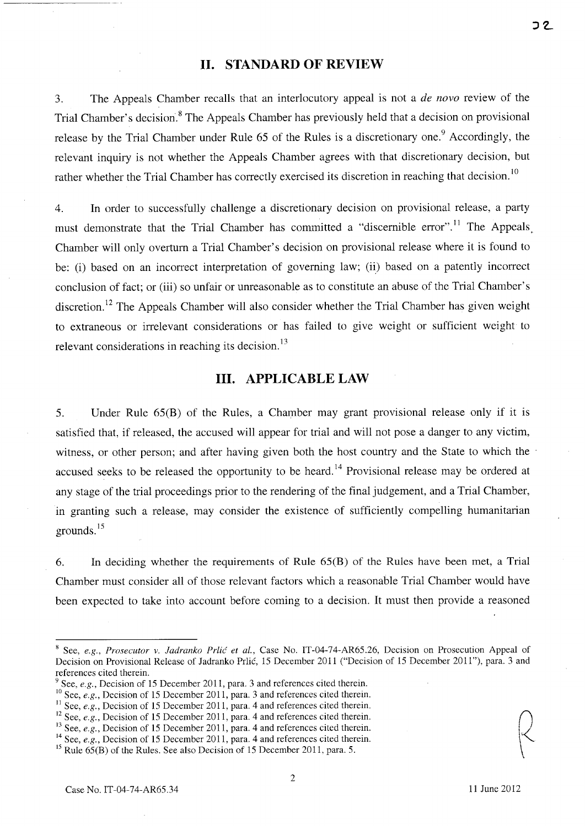#### **11. STANDARD OF REVIEW**

3. The Appeals Chamber recalls that an interlocutory appeal is not a *de novo* review of the Trial Chamber's decision.<sup>8</sup> The Appeals Chamber has previously held that a decision on provisional release by the Trial Chamber under Rule 65 of the Rules is a discretionary one.<sup>9</sup> Accordingly, the relevant inquiry is not whether the Appeals Chamber agrees with that discretionary decision, but rather whether the Trial Chamber has correctly exercised its discretion in reaching that decision.<sup>10</sup>

4. In order to successfully challenge a discretionary decision on provisional release, a party must demonstrate that the Trial Chamber has committed a "discernible error".<sup>11</sup> The Appeals Chamber will only overturn a Trial Chamber's decision on provisional release where it is found to be: (i) based on an incorrect interpretation of governing law; (ii) based on a patently incorrect conclusion of fact; or (iii) so unfair or unreasonable as to constitute an abuse of the Trial Chamber's discretion.<sup>12</sup> The Appeals Chamber will also consider whether the Trial Chamber has given weight to extraneous or irrelevant considerations or has failed to give weight or sufficient weight to relevant considerations in reaching its decision. $^{13}$ 

### **Ill. APPLICABLE LAW**

5. Under Rule 65(B) of the Rules, a Chamber may grant provisional release only if it is satisfied that, if released, the accused will appear for trial and will not pose a danger to any victim, witness, or other person; and after having given both the host country and the State to which the accused seeks to be released the opportunity to be heard.<sup>14</sup> Provisional release may be ordered at any stage of the trial proceedings prior to the rendering of the final judgement, and a Trial Chamber, in granting such a release, may consider the existence of sufficiently compelling humanitarian grounds. $15$ 

6. In deciding whether the requirements of Rule 65(B) of the Rules have been met, a Trial Chamber must consider all of those relevant factors which a reasonable Trial Chamber would have been expected to take into account before coming to a decision. It must then provide a reasoned

<sup>8</sup> See, *e.g., Prosecutor v. ladranko Prlic' et aI.,* Case No. IT-04-74-AR6S.26, Decision on Prosecution Appeal of Decision on Provisional Release of Jadranko Prlic, IS December 2011 ("Decision of IS December 2011"), para. 3 and references cited therein.

See, *e.g.*, Decision of 15 December 2011, para. 3 and references cited therein.

<sup>&</sup>lt;sup>10</sup> See, *e.g.*, Decision of 15 December 2011, para. 3 and references cited therein.

<sup>&</sup>lt;sup>11</sup> See, *e.g.*, Decision of 15 December 2011, para. 4 and references cited therein.

<sup>&</sup>lt;sup>12</sup> See, *e.g.*, Decision of 15 December 2011, para. 4 and references cited therein.<br><sup>13</sup> See, *e.g.*, Decision of 15 December 2011, para. 4 and references cited therein.

<sup>&</sup>lt;sup>14</sup> See, *e.g.*, Decision of 15 December 2011, para. 4 and references cited therein.

<sup>&</sup>lt;sup>15</sup> Rule  $65(B)$  of the Rules. See also Decision of 15 December 2011, para. 5.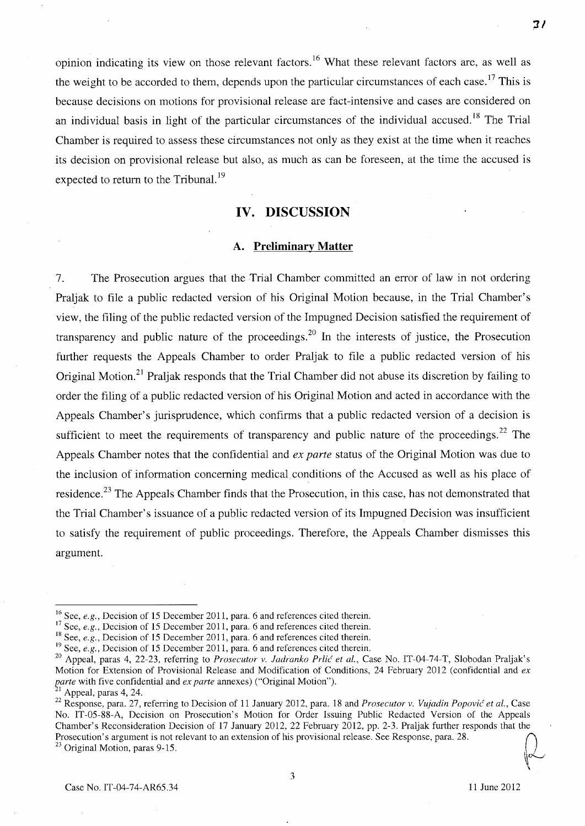opinion indicating its view on those relevant factors. 16 What these relevant factors are, as well as the weight to be accorded to them, depends upon the particular circumstances of each case.<sup>17</sup> This is because decisions on motions for provisional release are fact-intensive and cases are considered on an individual basis in light of the particular circumstances of the individual accused.<sup>18</sup> The Trial Chamber is required to assess these circumstances not only as they exist at the time when it reaches its decision on provisional release but also, as much as can be foreseen, at the time the accused is expected to return to the Tribunal.<sup>19</sup>

### **IV. DISCUSSION**

#### **A. Preliminary Matter**

7. The Prosecution argues that the Trial Chamber committed an error of law in not ordering Praljak to file a public redacted version of his Original Motion because, in the Trial Chamber's view, the filing of the public redacted version of the Impugned Decision satisfied the requirement of transparency and public nature of the proceedings.<sup>20</sup> In the interests of justice, the Prosecution further requests the Appeals Chamber to order Praljak to file a public redacted version of his Original Motion.<sup>21</sup> Praljak responds that the Trial Chamber did not abuse its discretion by failing to order the filing of a public redacted version of his Original Motion and acted in accordance with the Appeals Chamber's jurisprudence, which confirms that a public redacted version of a decision is sufficient to meet the requirements of transparency and public nature of the proceedings.<sup>22</sup> The Appeals Chamber notes that the confidential and *ex parte* status of the Original Motion was due to the inclusion of information concerning medical. conditions of the Accused as well as his place of residence.<sup>23</sup> The Appeals Chamber finds that the Prosecution, in this case, has not demonstrated that the Trial Chamber's issuance of a public redacted version of its Impugned Decision was insufficient to satisfy the requirement of public proceedings. Therefore, the Appeals Chamber dismisses this argument.

Case No. IT-04-74-AR65.34 11 June 2012

 $^{\prime\prime}$  $\ddot{\phantom{0}}$ 

**11** 

<sup>&</sup>lt;sup>16</sup> See, *e.g.*, Decision of 15 December 2011, para. 6 and references cited therein.

<sup>&</sup>lt;sup>17</sup> See, *e.g.*, Decision of 15 December 2011, para. 6 and references cited therein.

<sup>&</sup>lt;sup>18</sup> See, *e.g.*, Decision of 15 December 2011, para. 6 and references cited therein.

<sup>&</sup>lt;sup>19</sup> See, *e.g.*, Decision of 15 December 2011, para. 6 and references cited therein.

<sup>20</sup> Appeal, paras 4, 22-23, referring to *Prosecutor v. ladranko Prlic et aI.,* Case No. IT-04-74-T, Slobodan Praljak's Motion for Extension of Provisional Release and Modification of Conditions, 24 February 2012 (confidential and *ex parte* with five confidential and *ex parte* annexes) ("Original Motion").

Appeal, paras 4, 24.

<sup>&</sup>lt;sup>22</sup> Response, para. 27, referring to Decision of 11 January 2012, para. 18 and *Prosecutor v. Vujadin Popović et al.*, Case No. IT-05-88-A, Decision on Prosecution's Motion for Order Issuing Public Redacted Version of the Appeals Chamber's Reconsideration Decision of 17 January 2012,22 February 2012, pp. 2-3. Praljak further responds that the Prosecution's Argument is not relevant of Prosecution's Motion for Order Issuing Public Redacted Version of the Appeals Chamber's Reconsideration Decision of 17 January 2012, 22 February 2012, pp. 2-3. Praljak further resp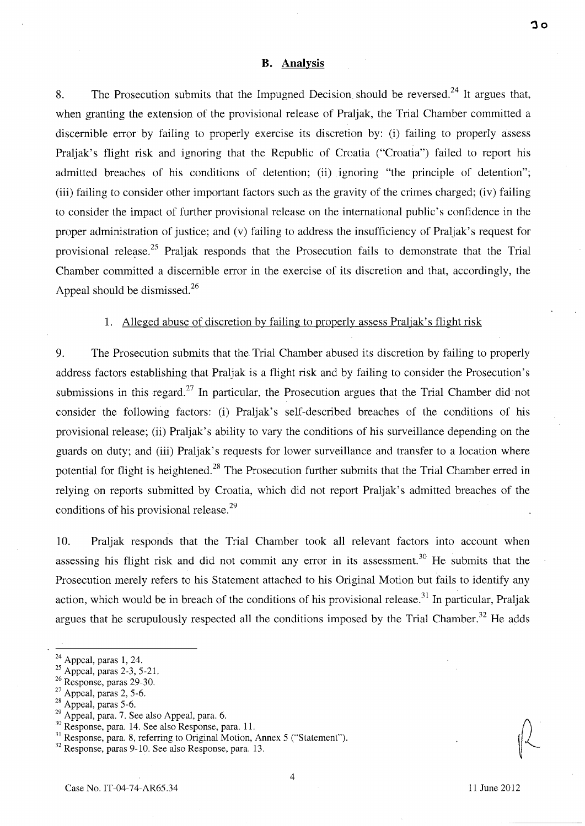#### **B. Analysis**

8. The Prosecution submits that the Impugned Decision should be reversed.<sup>24</sup> It argues that, when granting the extension of the provisional release of Praljak, the Trial Chamber committed a discernible error by failing to properly exercise its discretion by: (i) failing to properly assess Praljak's flight risk and ignoring that the Republic of Croatia ("Croatia") failed to report his admitted breaches of his conditions of detention; (ii) ignoring "the principle of detention"; (iii) failing to consider other important factors such as the gravity of the crimes charged; (iv) failing to consider the impact of further provisional release on the international public's confidence in the proper administration of justice; and (v) failing to address the insufficiency of Praljak's request for provisional release.<sup>25</sup> Praljak responds that the Prosecution fails to demonstrate that the Trial Chamber committed a discernible error in the exercise of its discretion and that, accordingly, the Appeal should be dismissed. $^{26}$ 

#### 1. Alleged abuse of discretion by failing to properly assess Praljak's flight risk

9. The Prosecution submits that the Trial Chamber abused its discretion by failing to properly address factors establishing that Praljak is a flight risk and by failing to consider the Prosecution's submissions in this regard.<sup>27</sup> In particular, the Prosecution argues that the Trial Chamber did not consider the following factors: (i) Praljak's self-described breaches of the conditions of his provisional release; (ii) Praljak's ability to vary the conditions of his surveillance depending on the guards on duty; and (iii) Praljak's requests for lower surveillance and transfer to a location where potential for flight is heightened.<sup>28</sup> The Prosecution further submits that the Trial Chamber erred in relying on reports submitted by Croatia, which did not report Praljak's admitted breaches of the conditions of his provisional release.<sup>29</sup>

10. Praljak responds that the Trial Chamber took all relevant factors into account when assessing his flight risk and did not commit any error in its assessment.<sup>30</sup> He submits that the Prosecution merely refers to his Statement attached to his Original Motion but fails to identify any action, which would be in breach of the conditions of his provisional release.<sup>31</sup> In particular, Praljak argues that he scrupulously respected all the conditions imposed by the Trial Chamber.<sup>32</sup> He adds

 $24$  Appeal, paras 1, 24.

 $^{25}$  Appeal, paras 2-3, 5-21.

<sup>&</sup>lt;sup>26</sup> Response, paras 29-30.

 $27$  Appeal, paras 2, 5-6.

 $28$  Appeal, paras 5-6.

 $29$  Appeal, para. 7. See also Appeal, para. 6.

<sup>&</sup>lt;sup>30</sup> Response, para. 14. See also Response, para. 11.

<sup>&</sup>lt;sup>31</sup> Response, para. 8, referring to Original Motion, Annex 5 ("Statement").

<sup>32</sup> Response, paras 9-10. See also Response, para. 13.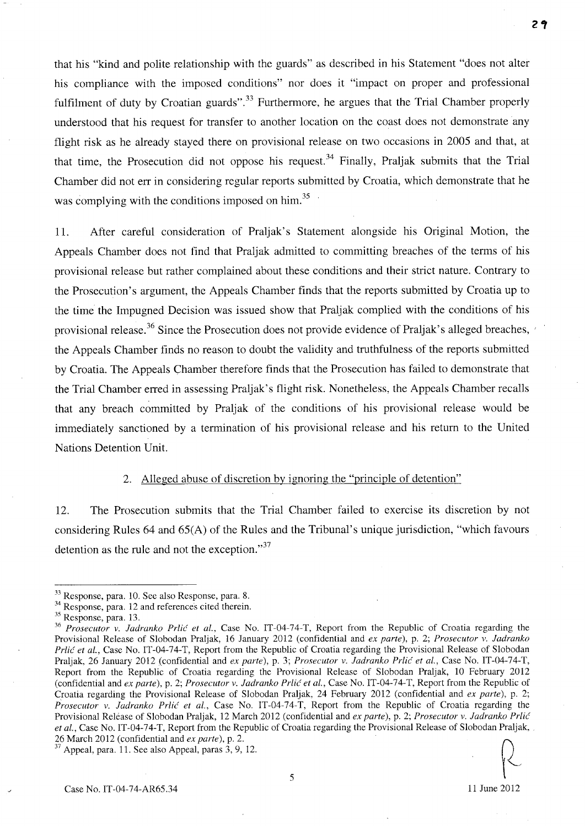that his "kind and polite relationship with the guards" as described in his Statement "does not alter his compliance with the imposed conditions" nor does it "impact on proper and professional fulfilment of duty by Croatian guards".<sup>33</sup> Furthermore, he argues that the Trial Chamber properly understood that his request for transfer to another location on the coast does not demonstrate any flight risk as he already stayed there on provisional release on two occasions in 2005 and that, at that time, the Prosecution did not oppose his request.<sup>34</sup> Finally, Praljak submits that the Trial Chamber did not err in considering regular reports submitted by Croatia, which demonstrate that he was complying with the conditions imposed on him.<sup>35</sup>

11. After careful consideration of Praljak's Statement alongside his Original Motion, the Appeals Chamber does not find that Praljak admitted to committing breaches of the terms of his provisional release but rather complained about these conditions and their strict nature. Contrary to the Prosecution's argument, the Appeals Chamber finds that the reports submitted by Croatia up to the time the Impugned Decision was issued show that Praljak complied with the conditions of his provisional release.<sup>36</sup> Since the Prosecution does not provide evidence of Praljak's alleged breaches,  $\gamma$ the Appeals Chamber finds no reason to doubt the validity and truthfulness of the reports submitted by Croatia. The Appeals Chamber therefore finds that the Prosecution has failed to demonstrate that the Trial Chamber erred in assessing Praljak's flight risk. Nonetheless, the Appeals Chamber recalls that any breach committed by Praljak of the conditions of his provisional release would be immediately sanctioned by a termination of his provisional release and his return to the United Nations Detention Unit.

#### 2. Alleged abuse of discretion by ignoring the "principle of detention"

12. The Prosecution submits that the Trial Chamber failed to exercise its discretion by not considering Rules 64 and 65(A) of the Rules and the Tribunal's unique jurisdiction, "which favours detention as the rule and not the exception. $37$ 

<sup>33</sup> Response, para. 10. See also Response, para. 8.

<sup>&</sup>lt;sup>34</sup> Response, para. 12 and references cited therein.

<sup>35</sup> Response, para. 13.

<sup>&</sup>lt;sup>36</sup> Prosecutor v. Jadranko Prlić et al., Case No. IT-04-74-T, Report from the Republic of Croatia regarding the Provisional Release of Slobodan Praljak, 16 January 2012 (confidential and *ex parte),* p. 2; *Prosecutor v. ladranko Prlic et aI.,* Case No. IT-04-74-T, Report from the Republic of Croatia regarding the Provisional Release of Slobodan Praljak, 26 January 2012 (confidential and *ex parte),* p. 3; *Prosecutor v. ladranko Prlic et aI.,* Case No. IT-04-74-T, Report from the Republic of Croatia regarding the Provisional Release of Slobodan Praljak, 10 February 2012 (confidential and *ex parte),* p. 2; *Prosecutor v. ladranko Prlic et aI.,* Case No. IT-04-74-T, Report from the Republic of Croatia regarding the Provisional Release of Slobodan Praljak, 24 February 2012 (confidential and *ex parte),* p. 2; *Prosecutor v. ladranko Prlic et al.,* Case No. IT-04-74-T, Report from the Republic of Croatia regarding the Provisional Release of Slobodan Praljak, 12 March 2012 (confidential and *ex parte),* p. 2; *Prosecutor v. ladranko Prlic et aI.,* Case No. IT-04-74-T, Report from the Republic of Croatia regarding the Provisional Release of Slobodan Praljak, . 26 March 2012 (confidential and *ex parte),* p. 2.

 $37$  Appeal, para. 11. See also Appeal, paras 3, 9, 12.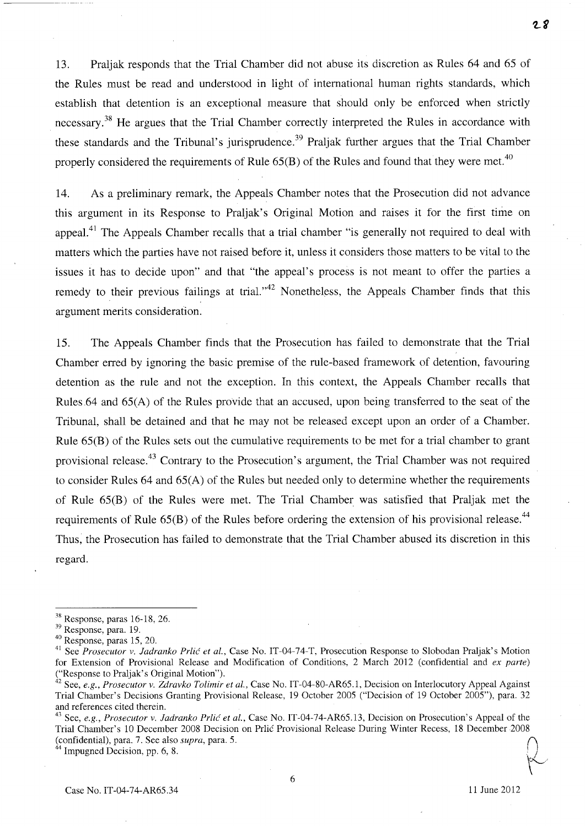13. Praljak responds that the Trial Chamber did not abuse its discretion as Rules 64 and 65 of the Rules must be read and understood in light of international human rights standards, which establish that detention is an exceptional measure that should only be enforced when strictly necessary.<sup>38</sup> He argues that the Trial Chamber correctly interpreted the Rules in accordance with these standards and the Tribunal's jurisprudence.<sup>39</sup> Praljak further argues that the Trial Chamber properly considered the requirements of Rule  $65(B)$  of the Rules and found that they were met.<sup>40</sup>

14. As a preliminary remark, the Appeals Chamber notes that the Prosecution did not advance this argument in its Response to Praljak's Original Motion and raises it for the first time on appeal.<sup>41</sup> The Appeals Chamber recalls that a trial chamber "is generally not required to deal with matters which the parties have not raised before it, unless it considers those matters to be vital to the issues it has to decide upon" and that "the appeal's process is not meant to offer the parties a remedy to their previous failings at trial."<sup>42</sup> Nonetheless, the Appeals Chamber finds that this argument merits consideration.

15. The Appeals Chamber finds that the Prosecution has failed to demonstrate that the Trial Chamber erred by ignoring the basic premise of the rule-based framework of detention, favouring detention as the rule and not the exception. In this context, the Appeals Chamber recalls that Rules.64 and 65(A) of the Rules provide that an accused, upon being transferred to the seat of the Tribunal, shall be detained and that he may not be released except upon an order of a Chamber. Rule 65(B) of the Rules sets out the cumulative requirements to be met for a trial chamber to grant provisional release.<sup>43</sup> Contrary to the Prosecution's argument, the Trial Chamber was not required to consider Rules 64 and 65(A) of the Rules but needed only to determine whether the requirements of Rule 65(B) of the Rules were met. The Trial Chamber was satisfied that Praljak met the requirements of Rule  $65(B)$  of the Rules before ordering the extension of his provisional release.<sup>44</sup> Thus, the Prosecution has failed to demonstrate that the Trial Chamber abused its discretion in this regard.

 $\sim$ 

6

<sup>38</sup> Response, paras 16-18,26.

<sup>39</sup> Response, para. 19.

<sup>40</sup> Response, paras 15,20.

<sup>&</sup>lt;sup>41</sup> See *Prosecutor v. Jadranko Prlić et al.*, Case No. IT-04-74-T, Prosecution Response to Slobodan Praljak's Motion for Extension of Provisional Release and Modification of Conditions, 2 March 2012 (confidential and *ex parte)*  ("Response to Praljak's Original Motion").

<sup>&</sup>lt;sup>42</sup> See, *e.g., Prosecutor v. Zdravko Tolimir et al.,* Case No. IT-04-80-AR65.1, Decision on Interlocutory Appeal Against Trial Chamber's Decisions Granting Provisional Release, 19 October 2005 ("Decision of 19 October 2005"), para. 32 and references cited therein.

<sup>&</sup>lt;sup>43</sup> See, *e.g., Prosecutor v. Jadranko Prlić et al.*, Case No. IT-04-74-AR65.13, Decision on Prosecution's Appeal of the Trial Chamber's 10 December 2008 Decision on Prlic Provisional Release During Winter Recess, 18 December 2008 (confidential), para. 7. See also *supra*, para. 5.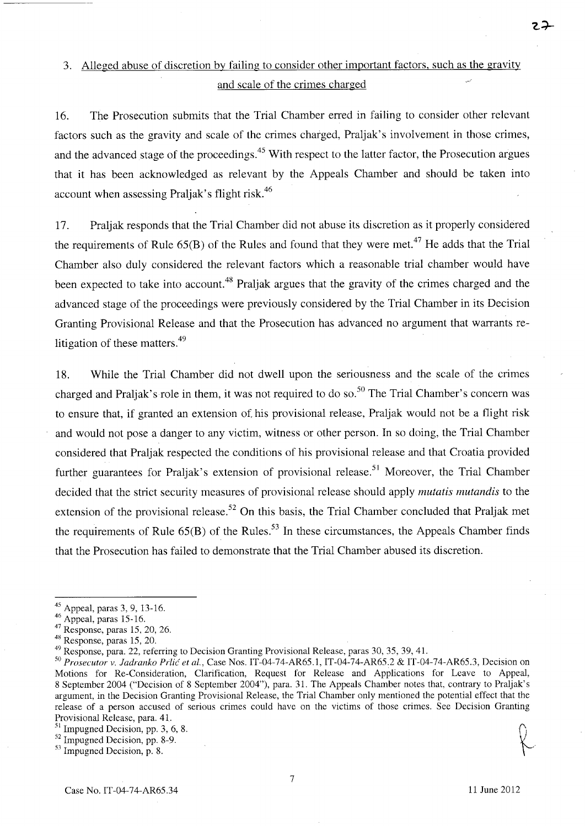## 3. Alleged abuse of discretion by failing to consider other important factors, such as the gravity and scale of the crimes charged

16. The Prosecution submits that the Trial Chamber erred in failing to consider other relevant factors such as the gravity and scale of the crimes charged, Praljak's involvement in those crimes, and the advanced stage of the proceedings.<sup>45</sup> With respect to the latter factor, the Prosecution argues that it has been acknowledged as relevant by the Appeals Chamber and should be taken into account when assessing Praljak's flight risk.<sup>46</sup>

17. Praljak responds that the Trial Chamber did not abuse its discretion as it properly considered the requirements of Rule  $65(B)$  of the Rules and found that they were met.<sup>47</sup> He adds that the Trial Chamber also duly considered the relevant factors which a reasonable trial chamber would have been expected to take into account.<sup>48</sup> Praljak argues that the gravity of the crimes charged and the advanced stage of the proceedings were previously considered by the Trial Chamber in its Decision Granting Provisional Release and that the Prosecution has advanced no argument that warrants relitigation of these matters.<sup>49</sup>

18. While the Trial Chamber did not dwell upon the seriousness and the scale of the crimes charged and Praljak's role in them, it was not required to do so.<sup>50</sup> The Trial Chamber's concern was to ensure that, if granted an extension of his provisional release, Praljak would not be a flight risk and would not pose a danger to any victim, witness or other person. In so doing, the Trial Chamber considered that Praljak respected the conditions of his provisional release and that Croatia provided further guarantees for Praljak's extension of provisional release.<sup>51</sup> Moreover, the Trial Chamber decided that the strict security measures of provisional release should apply *mutatis mutandis* to the extension of the provisional release.<sup>52</sup> On this basis, the Trial Chamber concluded that Praljak met the requirements of Rule  $65(B)$  of the Rules.<sup>53</sup> In these circumstances, the Appeals Chamber finds that the Prosecution has failed to demonstrate that the Trial Chamber abused its discretion.

7

<sup>45</sup> Appeal, paras 3, 9, 13-16.

 $46$  Appeal, paras 15-16.

<sup>47</sup> Response, paras 15,20,26.

<sup>48</sup> Response, paras 15, 20.

<sup>49</sup> Response, para. 22, referring to Decision Granting Provisional Release, paras 30, 35, 39, 41.

*<sup>50</sup> Prosecutor v. ladranko Prlic et al.,* Case Nos. IT-04-74-AR65.1, IT-04-74-AR65.2 & IT-04-74-AR65.3, Decision on Motions for Re-Consideration, Clarification, Request for Release and Applications for Leave to Appeal, 8 September 2004 ("Decision of 8 September 2004"), para. 31. The Appeals Chamber notes that, contrary to Praljak's argument, in the Decision Granting Provisional Release, the Trial Chamber only mentioned the potential effect that the release of a person accused of serious crimes could have on the victims of those crimes. See Decision Granting Provisional Release, para. 41.<br><sup>51</sup> Impugned Decision, pp. 3, 6, 8. Provisional Release, para. 41.<br><sup>51</sup> Impugned Decision, pp. 3, 6, 8.  $\bigcap_{s=5}^{\text{51}}$  Impugned Decision, pp. 8-9.

 $53$  Impugned Decision, p. 8.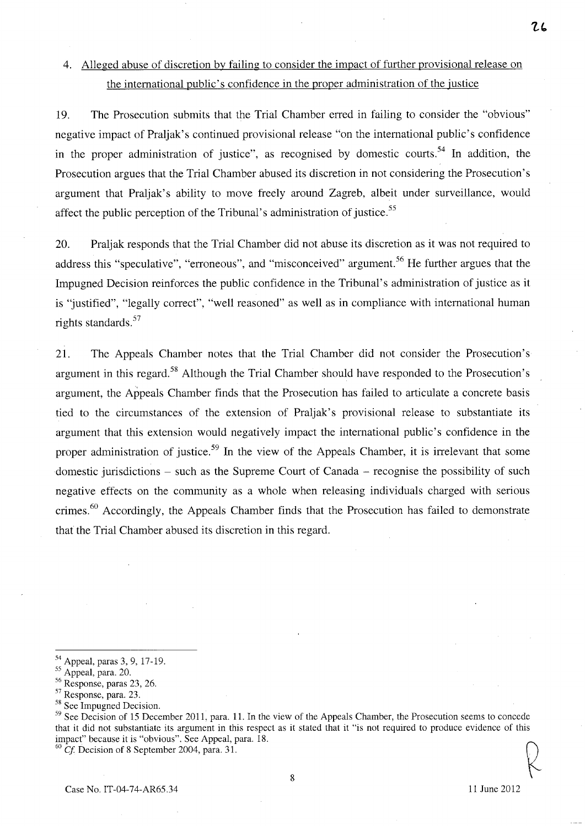## 4. Alleged abuse of discretion by failing to consider the impact of further provisional release on the international public's confidence in the proper administration of the justice

19. The Prosecution submits that the Trial Chamber erred in failing to consider the "obvious" negative impact of Praljak's continued provisional release "on the international public's confidence in the proper administration of justice", as recognised by domestic courts.<sup>54</sup> In addition, the Prosecution argues that the Trial Chamber abused its discretion in not considering the Prosecution's argument that Praljak's ability to move freely around Zagreb, albeit under surveillance, would affect the public perception of the Tribunal's administration of justice.<sup>55</sup>

20. Praljak responds that the Trial Chamber did not abuse its discretion as it was not required to address this "speculative", "erroneous", and "misconceived" argument.<sup>56</sup> He further argues that the Impugned Decision reinforces the public confidence in the Tribunal's administration of justice as it is "justified", "legally correct", "well reasoned" as well as in compliance with international human rights standards. 57

21. The Appeals Chamber notes that the Trial Chamber did not consider the Prosecution's argument in this regard.<sup>58</sup> Although the Trial Chamber should have responded to the Prosecution's argument, the Appeals Chamber finds that the Prosecution has failed to articulate a concrete basis tied to the circumstances of the extension of Praljak's provisional release to substantiate its argument that this extension would negatively impact the international public's confidence in the proper administration of justice.<sup>59</sup> In the view of the Appeals Chamber, it is irrelevant that some domestic jurisdictions – such as the Supreme Court of Canada – recognise the possibility of such negative effects on the community as a whole when releasing individuals charged with serious crimes.<sup>60</sup> Accordingly, the Appeals Chamber finds that the Prosecution has failed to demonstrate that the Trial Chamber abused its discretion in this regard.

 $60$  Cf. Decision of 8 September 2004, para. 31.

*Cl*   $\mathcal{L}$ 

<sup>&</sup>lt;sup>54</sup> Appeal, paras 3, 9, 17-19.

<sup>&</sup>lt;sup>55</sup> Appeal, para. 20.

<sup>56</sup> Response, paras 23, 26.

<sup>57</sup> Response, para. 23.

<sup>&</sup>lt;sup>58</sup> See Impugned Decision.

<sup>&</sup>lt;sup>59</sup> See Decision of 15 December 2011, para. 11. In the view of the Appeals Chamber, the Prosecution seems to concede that it did not substantiate its argument in this respect as it stated that it "is not required to produce evidence of this impact" because it is "obvious". See Appeal, para. 18.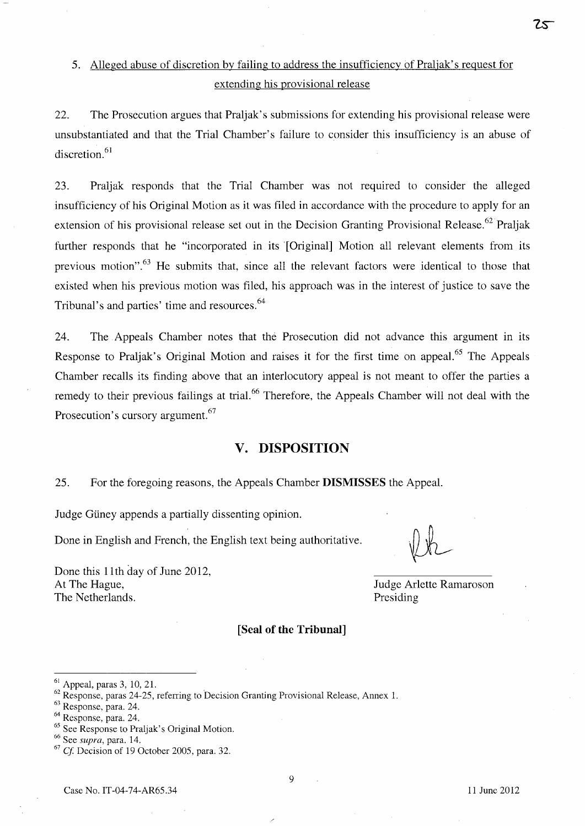## 5. Alleged abuse of discretion by failing to address the insufficiency of Praljak' s request for extending his provisional release

22. The Prosecution argues that Praljak' s submissions for extending his provisional release were unsubstantiated and that the Trial Chamber's failure to consider this insufficiency is an abuse of discretion. $61$ 

23. Praljak responds that the Trial Chamber was not required to consider the alleged insufficiency of his Original Motion as it was filed in accordance with the procedure to apply for an extension of his provisional release set out in the Decision Granting Provisional Release.<sup>62</sup> Praljak further responds that he "incorporated in its [Original] Motion all relevant elements from its previous motion".<sup>63</sup> He submits that, since all the relevant factors were identical to those that existed when his previous motion was filed, his approach was in the interest of justice to save the Tribunal's and parties' time and resources. 64

24. The Appeals Chamber notes that the Prosecution did not advance this argument in its Response to Praljak's Original Motion and raises it for the first time on appeal.<sup>65</sup> The Appeals Chamber recalls its finding above that an interlocutory appeal is not meant to offer the parties a remedy to their previous failings at trial.<sup>66</sup> Therefore, the Appeals Chamber will not deal with the Prosecution's cursory argument.<sup>67</sup>

### **v. DISPOSITION**

25. For the foregoing reasons, the Appeals Chamber **DISMISSES** the Appeal.

Judge Güney appends a partially dissenting opinion.

Done in English and French, the English text being authoritative.

Done this 11th day of June 2012, At The Hague, The Netherlands.

Judge Arlette Ramaroson Presiding

#### **[Seal of the Tribunal]**

63 Response, para. 24.

9

Zs

 $61$  Appeal, paras 3, 10, 21.

 $^{62}$  Response, paras 24-25, referring to Decision Granting Provisional Release, Annex 1.

<sup>64</sup> Response, para. 24.

<sup>&</sup>lt;sup>65</sup> See Response to Praljak's Original Motion.

<sup>66</sup> See *supra,* para. 14.

 $67$  Cf. Decision of 19 October 2005, para. 32.